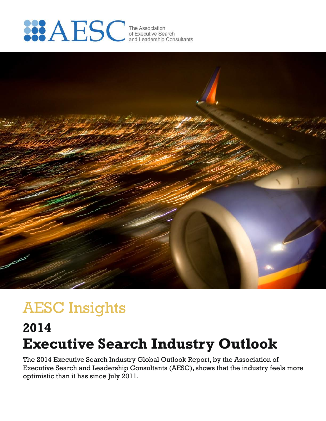



# AESC Insights

## **Executive Search Industry Outlook 2014**

The 2014 Executive Search Industry Global Outlook Report, by the Association of Executive Search and Leadership Consultants (AESC), shows that the industry feels more optimistic than it has since July 2011.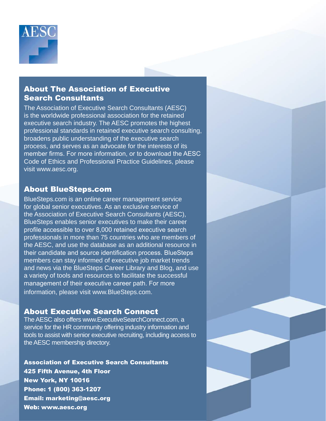

#### About The Association of Executive Search Consultants

The Association of Executive Search Consultants (AESC) is the worldwide professional association for the retained executive search industry. The AESC promotes the highest professional standards in retained executive search consulting, broadens public understanding of the executive search process, and serves as an advocate for the interests of its member firms. For more information, or to download the AESC Code of Ethics and Professional Practice Guidelines, please visit www.aesc.org.

#### About BlueSteps.com

BlueSteps.com is an online career management service for global senior executives. As an exclusive service of the Association of Executive Search Consultants (AESC), BlueSteps enables senior executives to make their career profile accessible to over 8,000 retained executive search professionals in more than 75 countries who are members of the AESC, and use the database as an additional resource in their candidate and source identification process. BlueSteps members can stay informed of executive job market trends and news via the BlueSteps Career Library and Blog, and use a variety of tools and resources to facilitate the successful management of their executive career path. For more information, please visit www.BlueSteps.com.

### About Executive Search Connect

The AESC also offers www.ExecutiveSearchConnect.com, a service for the HR community offering industry information and tools to assist with senior executive recruiting, including access to the AESC membership directory.

Association of Executive Search Consultants 425 Fifth Avenue, 4th Floor New York, NY 10016 Phone: 1 (800) 363-1207 Email: marketing@aesc.org Web: www.aesc.org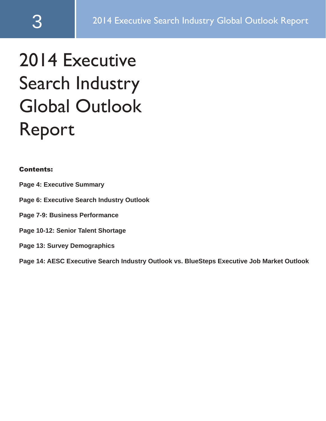# 2014 Executive Search Industry Global Outlook Report

#### Contents:

- **Page 4: Executive Summary**
- **Page 6: Executive Search Industry Outlook**
- **Page 7-9: Business Performance**
- **Page 10-12: Senior Talent Shortage**
- **Page 13: Survey Demographics**

**Page 14: AESC Executive Search Industry Outlook vs. BlueSteps Executive Job Market Outlook**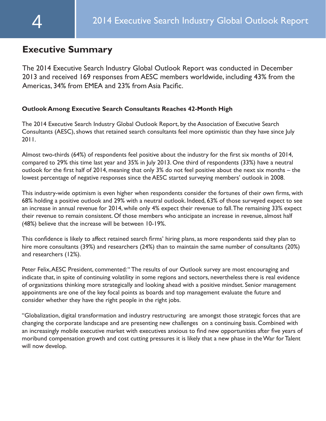## **Executive Summary**

The 2014 Executive Search Industry Global Outlook Report was conducted in December 2013 and received 169 responses from AESC members worldwide, including 43% from the Americas, 34% from EMEA and 23% from Asia Pacific.

#### **Outlook Among Executive Search Consultants Reaches 42-Month High**

The 2014 Executive Search Industry Global Outlook Report, by the Association of Executive Search Consultants (AESC), shows that retained search consultants feel more optimistic than they have since July 2011.

Almost two-thirds (64%) of respondents feel positive about the industry for the first six months of 2014, compared to 29% this time last year and 35% in July 2013. One third of respondents (33%) have a neutral outlook for the first half of 2014, meaning that only 3% do not feel positive about the next six months – the lowest percentage of negative responses since the AESC started surveying members' outlook in 2008.

This industry-wide optimism is even higher when respondents consider the fortunes of their own firms, with 68% holding a positive outlook and 29% with a neutral outlook. Indeed, 63% of those surveyed expect to see an increase in annual revenue for 2014, while only 4% expect their revenue to fall. The remaining 33% expect their revenue to remain consistent. Of those members who anticipate an increase in revenue, almost half (48%) believe that the increase will be between 10-19%.

This confidence is likely to affect retained search firms' hiring plans, as more respondents said they plan to hire more consultants (39%) and researchers (24%) than to maintain the same number of consultants (20%) and researchers (12%).

Peter Felix, AESC President, commented: "The results of our Outlook survey are most encouraging and indicate that, in spite of continuing volatility in some regions and sectors, nevertheless there is real evidence of organizations thinking more strategically and looking ahead with a positive mindset. Senior management appointments are one of the key focal points as boards and top management evaluate the future and consider whether they have the right people in the right jobs.

"Globalization, digital transformation and industry restructuring are amongst those strategic forces that are changing the corporate landscape and are presenting new challenges on a continuing basis. Combined with an increasingly mobile executive market with executives anxious to find new opportunities after five years of moribund compensation growth and cost cutting pressures it is likely that a new phase in the War for Talent will now develop.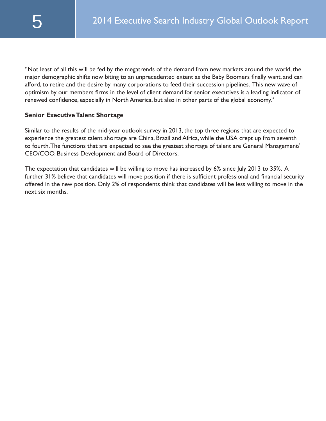"Not least of all this will be fed by the megatrends of the demand from new markets around the world, the major demographic shifts now biting to an unprecedented extent as the Baby Boomers finally want, and can afford, to retire and the desire by many corporations to feed their succession pipelines. This new wave of optimism by our members firms in the level of client demand for senior executives is a leading indicator of renewed confidence, especially in North America, but also in other parts of the global economy."

#### **Senior Executive Talent Shortage**

Similar to the results of the mid-year outlook survey in 2013, the top three regions that are expected to experience the greatest talent shortage are China, Brazil and Africa, while the USA crept up from seventh to fourth. The functions that are expected to see the greatest shortage of talent are General Management/ CEO/COO, Business Development and Board of Directors.

The expectation that candidates will be willing to move has increased by 6% since July 2013 to 35%. A further 31% believe that candidates will move position if there is sufficient professional and financial security offered in the new position. Only 2% of respondents think that candidates will be less willing to move in the next six months.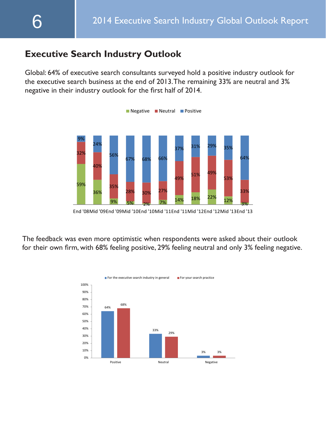## **Executive Search Industry Outlook**

Global: 64% of executive search consultants surveyed hold a positive industry outlook for the executive search business at the end of 2013. The remaining 33% are neutral and 3% negative in their industry outlook for the first half of 2014.



End '08Mid '09End '09Mid '10End '10Mid '11End '11Mid '12End '12Mid '13End '13

The feedback was even more optimistic when respondents were asked about their outlook for their own firm, with 68% feeling positive, 29% feeling neutral and only 3% feeling negative.

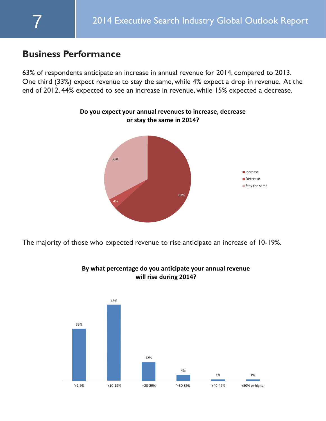## **Business Performance**

63% of respondents anticipate an increase in annual revenue for 2014, compared to 2013. One third (33%) expect revenue to stay the same, while 4% expect a drop in revenue. At the end of 2012, 44% expected to see an increase in revenue, while 15% expected a decrease.

**Do you expect your annual revenues to increase, decrease** 



The majority of those who expected revenue to rise anticipate an increase of 10-19%.



**By what percentage do you anticipate your annual revenue will rise during 2014?**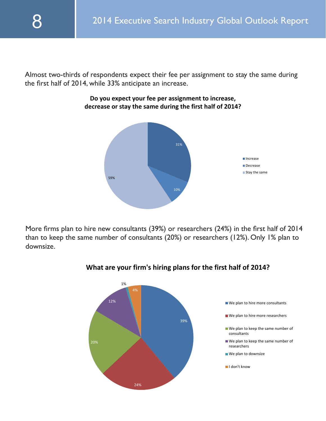Almost two-thirds of respondents expect their fee per assignment to stay the same during the first half of 2014, while 33% anticipate an increase.

> **Do you expect your fee per assignment to increase, decrease or stay the same during the first half of 2014?**



More firms plan to hire new consultants (39%) or researchers (24%) in the first half of 2014 than to keep the same number of consultants (20%) or researchers (12%). Only 1% plan to downsize.



#### **What are your firm's hiring plans for the first half of 2014?**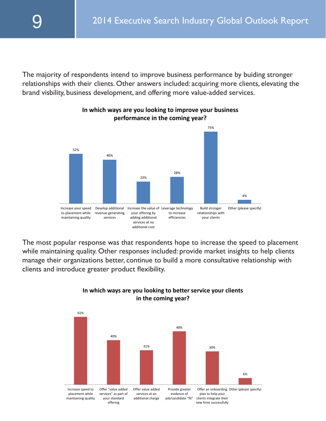The majority of respondents intend to improve business performance by buiding stronger relationships with their clients. Other answers included: acquiring more clients, elevating the brand visbility, business development, and offering more value-added services.



#### **In which ways are you looking to improve your business performance in the coming year?**

The most popular response was that respondents hope to increase the speed to placement while maintaining quality. Other responses included: provide market insights to help clients manage their organizations better, continue to build a more consultative relationship with clients and introduce greater product flexibility.



**In which ways are you looking to better service your clients in the coming year?**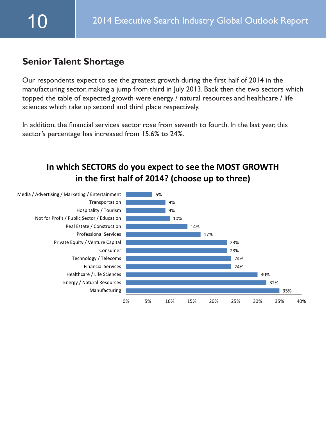## **Senior Talent Shortage**

Our respondents expect to see the greatest growth during the first half of 2014 in the manufacturing sector, making a jump from third in July 2013. Back then the two sectors which topped the table of expected growth were energy / natural resources and healthcare / life sciences which take up second and third place respectively.

In addition, the financial services sector rose from seventh to fourth. In the last year, this sector's percentage has increased from 15.6% to 24%.

## **In which SECTORS do you expect to see the MOST GROWTH in the first half of 2014? (choose up to three)**

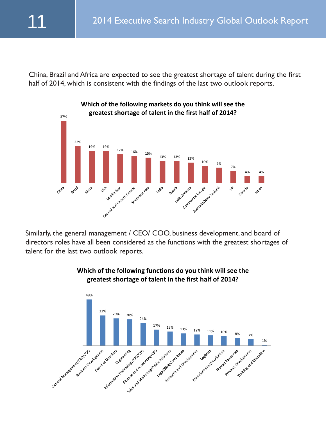China, Brazil and Africa are expected to see the greatest shortage of talent during the first half of 2014, which is consistent with the findings of the last two outlook reports.



Similarly, the general management / CEO/ COO, business development, and board of directors roles have all been considered as the functions with the greatest shortages of talent for the last two outlook reports.



#### **Which of the following functions do you think will see the greatest shortage of talent in the first half of 2014?**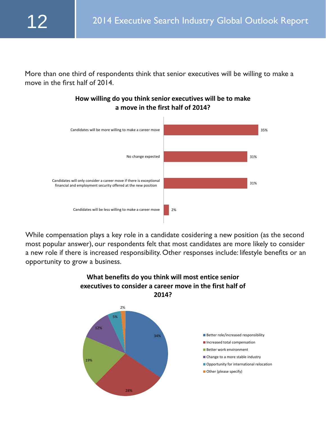More than one third of respondents think that senior executives will be willing to make a move in the first half of 2014.



**How willing do you think senior executives will be to make a move in the first half of 2014?** 

While compensation plays a key role in a candidate cosidering a new position (as the second most popular answer), our respondents felt that most candidates are more likely to consider a new role if there is increased responsibility. Other responses include: lifestyle benefits or an opportunity to grow a business.



## **What benefits do you think will most entice senior executives to consider a career move in the first half of**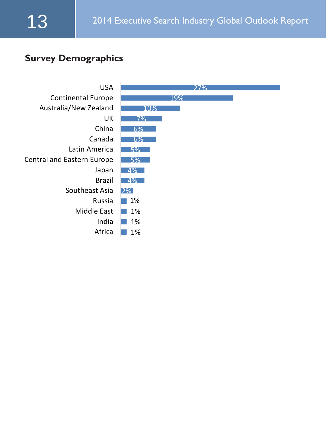## **Survey Demographics**

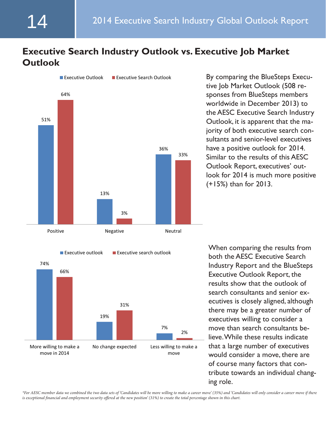## **Executive Search Industry Outlook vs. Executive Job Market Outlook**



tive Job Market Outlook (508 responses from BlueSteps members worldwide in December 2013) to the AESC Executive Search Industry Outlook, it is apparent that the majority of both executive search consultants and senior-level executives have a positive outlook for 2014. Similar to the results of this AESC Outlook Report, executives' outlook for 2014 is much more positive (+15%) than for 2013.



both the AESC Executive Search Industry Report and the BlueSteps Executive Outlook Report, the results show that the outlook of search consultants and senior executives is closely aligned, although there may be a greater number of executives willing to consider a move than search consultants believe. While these results indicate that a large number of executives would consider a move, there are of course many factors that contribute towards an individual changing role.

*\*For AESC member data we combined the two data sets of 'Candidates will be more willing to make a career move' (35%) and 'Candidates will only consider a career move if there is exceptional financial and employment security offered at the new position' (31%) to create the total percentage shown in this chart.*